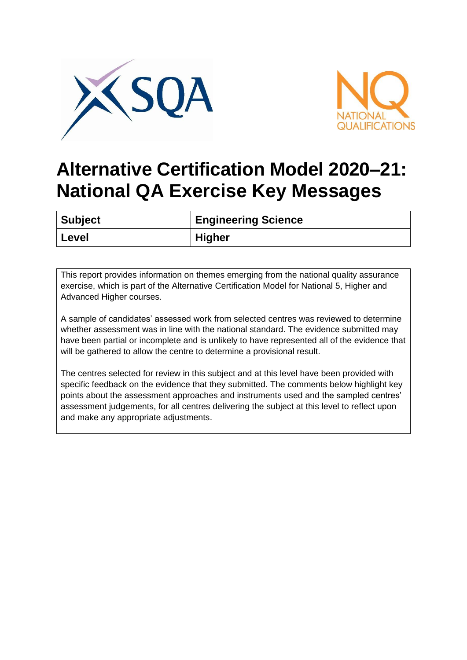



## **Alternative Certification Model 2020–21: National QA Exercise Key Messages**

| <b>Subject</b> | <b>Engineering Science</b> |
|----------------|----------------------------|
| Level          | <b>Higher</b>              |

This report provides information on themes emerging from the national quality assurance exercise, which is part of the Alternative Certification Model for National 5, Higher and Advanced Higher courses.

A sample of candidates' assessed work from selected centres was reviewed to determine whether assessment was in line with the national standard. The evidence submitted may have been partial or incomplete and is unlikely to have represented all of the evidence that will be gathered to allow the centre to determine a provisional result.

The centres selected for review in this subject and at this level have been provided with specific feedback on the evidence that they submitted. The comments below highlight key points about the assessment approaches and instruments used and the sampled centres' assessment judgements, for all centres delivering the subject at this level to reflect upon and make any appropriate adjustments.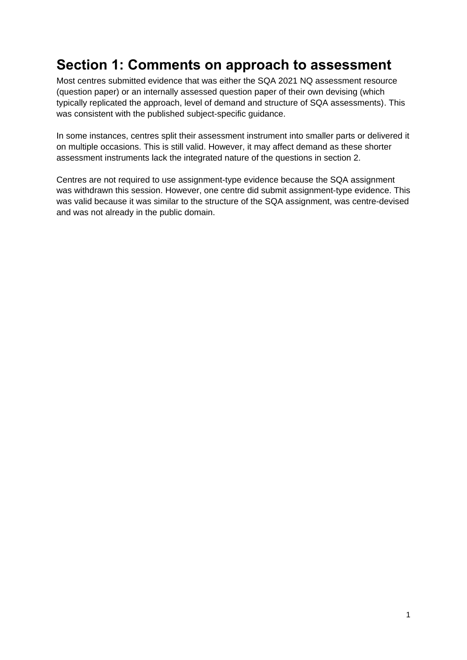## **Section 1: Comments on approach to assessment**

Most centres submitted evidence that was either the SQA 2021 NQ assessment resource (question paper) or an internally assessed question paper of their own devising (which typically replicated the approach, level of demand and structure of SQA assessments). This was consistent with the published subject-specific guidance.

In some instances, centres split their assessment instrument into smaller parts or delivered it on multiple occasions. This is still valid. However, it may affect demand as these shorter assessment instruments lack the integrated nature of the questions in section 2.

Centres are not required to use assignment-type evidence because the SQA assignment was withdrawn this session. However, one centre did submit assignment-type evidence. This was valid because it was similar to the structure of the SQA assignment, was centre-devised and was not already in the public domain.